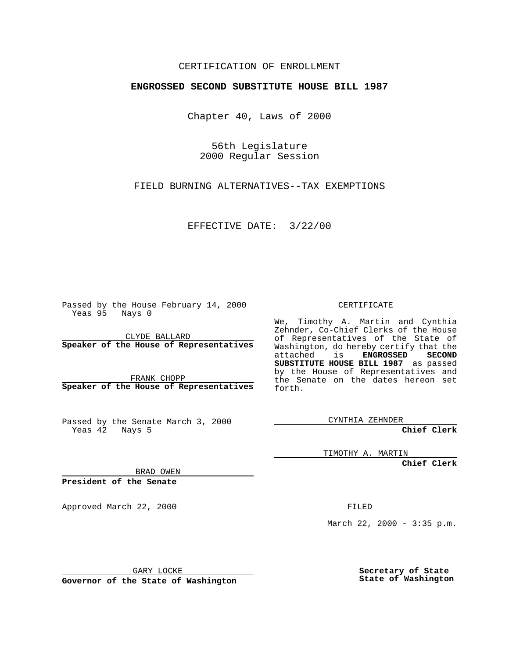## CERTIFICATION OF ENROLLMENT

## **ENGROSSED SECOND SUBSTITUTE HOUSE BILL 1987**

Chapter 40, Laws of 2000

56th Legislature 2000 Regular Session

FIELD BURNING ALTERNATIVES--TAX EXEMPTIONS

EFFECTIVE DATE: 3/22/00

Passed by the House February 14, 2000 Yeas 95 Nays 0

CLYDE BALLARD **Speaker of the House of Representatives**

FRANK CHOPP **Speaker of the House of Representatives**

Passed by the Senate March 3, 2000 Yeas 42 Nays 5

CERTIFICATE

We, Timothy A. Martin and Cynthia Zehnder, Co-Chief Clerks of the House of Representatives of the State of Washington, do hereby certify that the attached is **ENGROSSED** SECOND attached is **SUBSTITUTE HOUSE BILL 1987** as passed by the House of Representatives and the Senate on the dates hereon set forth.

CYNTHIA ZEHNDER

**Chief Clerk**

TIMOTHY A. MARTIN

**Chief Clerk**

BRAD OWEN

**President of the Senate**

Approved March 22, 2000 FILED

March 22, 2000 - 3:35 p.m.

GARY LOCKE

**Governor of the State of Washington**

**Secretary of State State of Washington**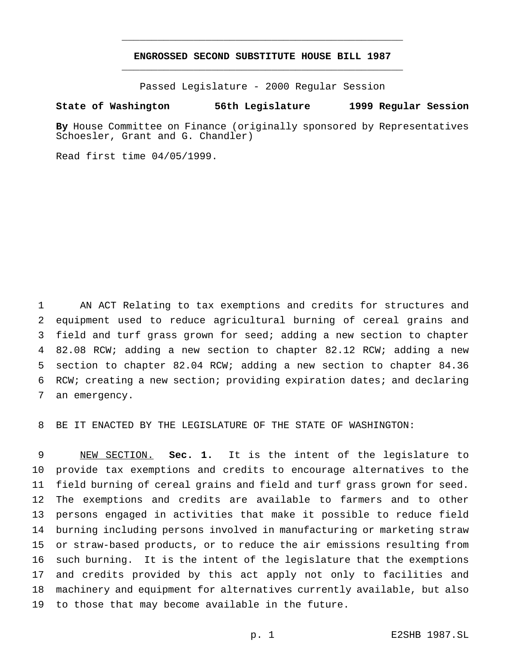## **ENGROSSED SECOND SUBSTITUTE HOUSE BILL 1987** \_\_\_\_\_\_\_\_\_\_\_\_\_\_\_\_\_\_\_\_\_\_\_\_\_\_\_\_\_\_\_\_\_\_\_\_\_\_\_\_\_\_\_\_\_\_\_

\_\_\_\_\_\_\_\_\_\_\_\_\_\_\_\_\_\_\_\_\_\_\_\_\_\_\_\_\_\_\_\_\_\_\_\_\_\_\_\_\_\_\_\_\_\_\_

Passed Legislature - 2000 Regular Session

## **State of Washington 56th Legislature 1999 Regular Session**

**By** House Committee on Finance (originally sponsored by Representatives Schoesler, Grant and G. Chandler)

Read first time 04/05/1999.

 AN ACT Relating to tax exemptions and credits for structures and equipment used to reduce agricultural burning of cereal grains and field and turf grass grown for seed; adding a new section to chapter 82.08 RCW; adding a new section to chapter 82.12 RCW; adding a new section to chapter 82.04 RCW; adding a new section to chapter 84.36 RCW; creating a new section; providing expiration dates; and declaring an emergency.

BE IT ENACTED BY THE LEGISLATURE OF THE STATE OF WASHINGTON:

 NEW SECTION. **Sec. 1.** It is the intent of the legislature to provide tax exemptions and credits to encourage alternatives to the field burning of cereal grains and field and turf grass grown for seed. The exemptions and credits are available to farmers and to other persons engaged in activities that make it possible to reduce field burning including persons involved in manufacturing or marketing straw or straw-based products, or to reduce the air emissions resulting from such burning. It is the intent of the legislature that the exemptions and credits provided by this act apply not only to facilities and machinery and equipment for alternatives currently available, but also to those that may become available in the future.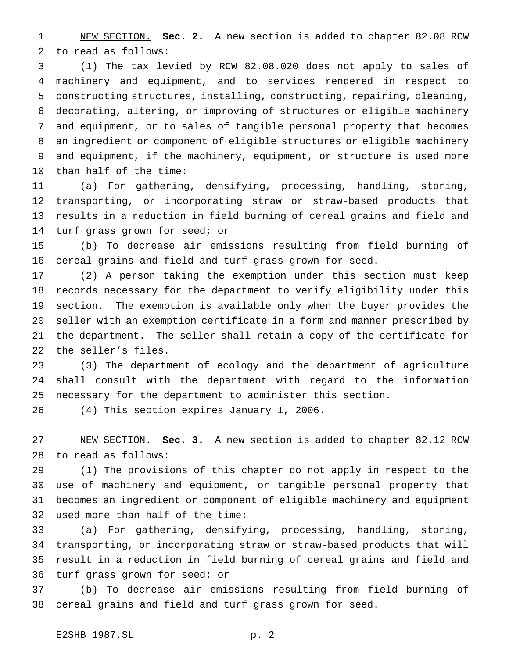NEW SECTION. **Sec. 2.** A new section is added to chapter 82.08 RCW to read as follows:

 (1) The tax levied by RCW 82.08.020 does not apply to sales of machinery and equipment, and to services rendered in respect to constructing structures, installing, constructing, repairing, cleaning, decorating, altering, or improving of structures or eligible machinery and equipment, or to sales of tangible personal property that becomes an ingredient or component of eligible structures or eligible machinery and equipment, if the machinery, equipment, or structure is used more than half of the time:

 (a) For gathering, densifying, processing, handling, storing, transporting, or incorporating straw or straw-based products that results in a reduction in field burning of cereal grains and field and turf grass grown for seed; or

 (b) To decrease air emissions resulting from field burning of cereal grains and field and turf grass grown for seed.

 (2) A person taking the exemption under this section must keep records necessary for the department to verify eligibility under this section. The exemption is available only when the buyer provides the seller with an exemption certificate in a form and manner prescribed by the department. The seller shall retain a copy of the certificate for the seller's files.

 (3) The department of ecology and the department of agriculture shall consult with the department with regard to the information necessary for the department to administer this section.

(4) This section expires January 1, 2006.

 NEW SECTION. **Sec. 3.** A new section is added to chapter 82.12 RCW to read as follows:

 (1) The provisions of this chapter do not apply in respect to the use of machinery and equipment, or tangible personal property that becomes an ingredient or component of eligible machinery and equipment used more than half of the time:

 (a) For gathering, densifying, processing, handling, storing, transporting, or incorporating straw or straw-based products that will result in a reduction in field burning of cereal grains and field and turf grass grown for seed; or

 (b) To decrease air emissions resulting from field burning of cereal grains and field and turf grass grown for seed.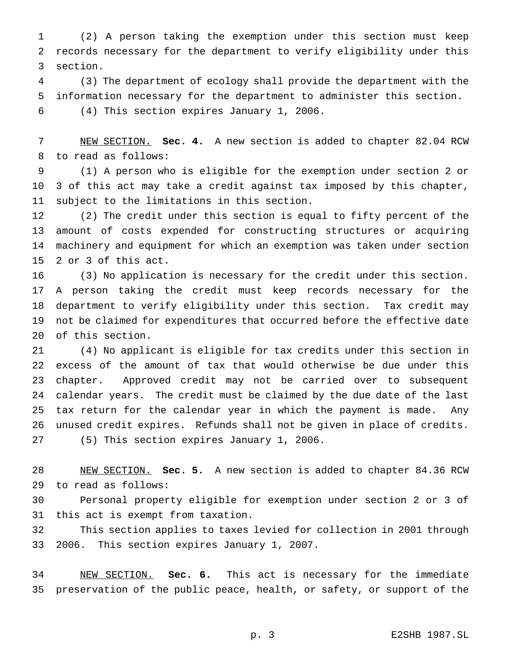(2) A person taking the exemption under this section must keep records necessary for the department to verify eligibility under this section.

 (3) The department of ecology shall provide the department with the information necessary for the department to administer this section. (4) This section expires January 1, 2006.

 NEW SECTION. **Sec. 4.** A new section is added to chapter 82.04 RCW to read as follows:

 (1) A person who is eligible for the exemption under section 2 or 3 of this act may take a credit against tax imposed by this chapter, subject to the limitations in this section.

 (2) The credit under this section is equal to fifty percent of the amount of costs expended for constructing structures or acquiring machinery and equipment for which an exemption was taken under section 2 or 3 of this act.

 (3) No application is necessary for the credit under this section. A person taking the credit must keep records necessary for the department to verify eligibility under this section. Tax credit may not be claimed for expenditures that occurred before the effective date of this section.

 (4) No applicant is eligible for tax credits under this section in excess of the amount of tax that would otherwise be due under this chapter. Approved credit may not be carried over to subsequent calendar years. The credit must be claimed by the due date of the last tax return for the calendar year in which the payment is made. Any unused credit expires. Refunds shall not be given in place of credits. (5) This section expires January 1, 2006.

 NEW SECTION. **Sec. 5.** A new section is added to chapter 84.36 RCW to read as follows:

 Personal property eligible for exemption under section 2 or 3 of this act is exempt from taxation.

 This section applies to taxes levied for collection in 2001 through 2006. This section expires January 1, 2007.

 NEW SECTION. **Sec. 6.** This act is necessary for the immediate preservation of the public peace, health, or safety, or support of the